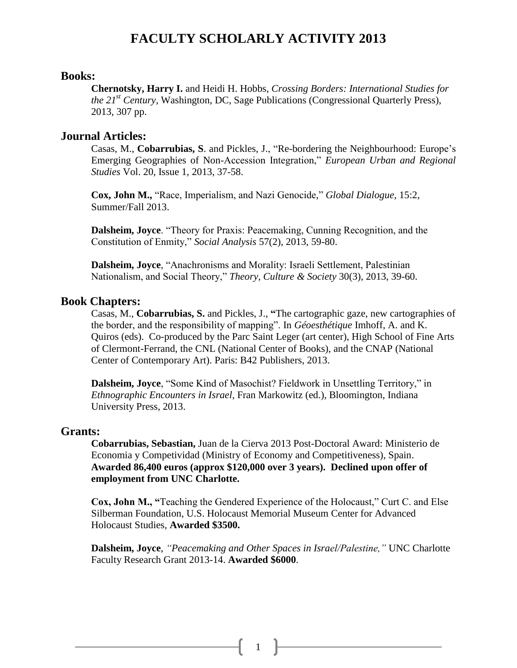# **FACULTY SCHOLARLY ACTIVITY 2013**

#### **Books:**

**Chernotsky, Harry I.** and Heidi H. Hobbs, *Crossing Borders: International Studies for the 21st Century,* Washington, DC, Sage Publications (Congressional Quarterly Press), 2013, 307 pp.

#### **Journal Articles:**

Casas, M., **Cobarrubias, S**. and Pickles, J., "Re-bordering the Neighbourhood: Europe's Emerging Geographies of Non-Accession Integration," *European Urban and Regional Studies* Vol. 20, Issue 1, 2013, 37-58.

**Cox, John M.,** "Race, Imperialism, and Nazi Genocide," *Global Dialogue,* 15:2, Summer/Fall 2013.

**Dalsheim, Joyce**. "Theory for Praxis: Peacemaking, Cunning Recognition, and the Constitution of Enmity," *Social Analysis* 57(2)*,* 2013, 59-80.

**Dalsheim, Joyce**, "Anachronisms and Morality: Israeli Settlement, Palestinian Nationalism, and Social Theory," *Theory, Culture & Society* 30(3), 2013, 39-60.

#### **Book Chapters:**

Casas, M., **Cobarrubias, S.** and Pickles, J., **"**The cartographic gaze, new cartographies of the border, and the responsibility of mapping". In *Géoesthétique* Imhoff, A. and K. Quiros (eds). Co-produced by the Parc Saint Leger (art center), High School of Fine Arts of Clermont-Ferrand, the CNL (National Center of Books), and the CNAP (National Center of Contemporary Art). Paris: B42 Publishers, 2013.

**Dalsheim, Joyce**, "Some Kind of Masochist? Fieldwork in Unsettling Territory," in *Ethnographic Encounters in Israel*, Fran Markowitz (ed.), Bloomington, Indiana University Press, 2013.

#### **Grants:**

**Cobarrubias, Sebastian,** Juan de la Cierva 2013 Post-Doctoral Award: Ministerio de Economia y Competividad (Ministry of Economy and Competitiveness), Spain. **Awarded 86,400 euros (approx \$120,000 over 3 years). Declined upon offer of employment from UNC Charlotte.** 

**Cox, John M., "**Teaching the Gendered Experience of the Holocaust," Curt C. and Else Silberman Foundation, U.S. Holocaust Memorial Museum Center for Advanced Holocaust Studies, **Awarded \$3500.**

**Dalsheim, Joyce**, *"Peacemaking and Other Spaces in Israel/Palestine,"* UNC Charlotte Faculty Research Grant 2013-14. **Awarded \$6000**.

1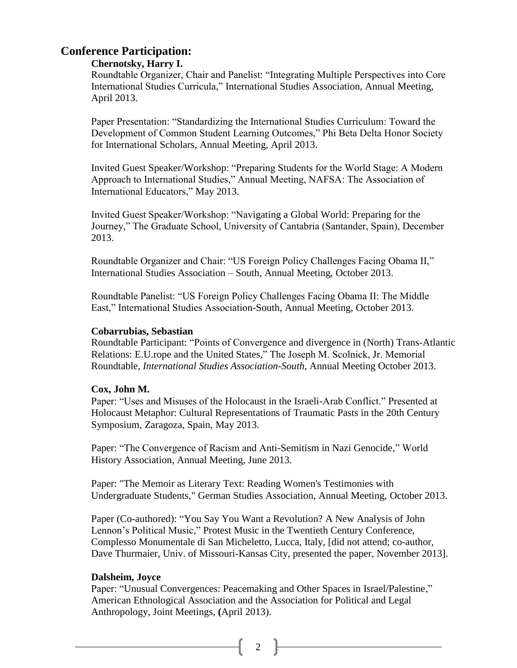# **Conference Participation:**

# **Chernotsky, Harry I.**

Roundtable Organizer, Chair and Panelist: "Integrating Multiple Perspectives into Core International Studies Curricula," International Studies Association, Annual Meeting, April 2013.

Paper Presentation: "Standardizing the International Studies Curriculum: Toward the Development of Common Student Learning Outcomes," Phi Beta Delta Honor Society for International Scholars, Annual Meeting, April 2013.

Invited Guest Speaker/Workshop: "Preparing Students for the World Stage: A Modern Approach to International Studies," Annual Meeting, NAFSA: The Association of International Educators," May 2013.

Invited Guest Speaker/Workshop: "Navigating a Global World: Preparing for the Journey," The Graduate School, University of Cantabria (Santander, Spain), December 2013.

Roundtable Organizer and Chair: "US Foreign Policy Challenges Facing Obama II," International Studies Association – South, Annual Meeting, October 2013.

Roundtable Panelist: "US Foreign Policy Challenges Facing Obama II: The Middle East," International Studies Association-South, Annual Meeting, October 2013.

## **Cobarrubias, Sebastian**

Roundtable Participant: "Points of Convergence and divergence in (North) Trans-Atlantic Relations: E.U.rope and the United States," The Joseph M. Scolnick, Jr. Memorial Roundtable, *International Studies Association-South*, Annual Meeting October 2013.

#### **Cox, John M.**

Paper: "Uses and Misuses of the Holocaust in the Israeli-Arab Conflict." Presented at Holocaust Metaphor: Cultural Representations of Traumatic Pasts in the 20th Century Symposium, Zaragoza, Spain, May 2013.

Paper: "The Convergence of Racism and Anti-Semitism in Nazi Genocide," World History Association, Annual Meeting, June 2013.

Paper: "The Memoir as Literary Text: Reading Women's Testimonies with Undergraduate Students," German Studies Association, Annual Meeting, October 2013.

Paper (Co-authored): "You Say You Want a Revolution? A New Analysis of John Lennon's Political Music," Protest Music in the Twentieth Century Conference, Complesso Monumentale di San Micheletto, Lucca, Italy, [did not attend; co-author, Dave Thurmaier, Univ. of Missouri-Kansas City, presented the paper, November 2013].

# **Dalsheim, Joyce**

Paper: "Unusual Convergences: Peacemaking and Other Spaces in Israel/Palestine," American Ethnological Association and the Association for Political and Legal Anthropology, Joint Meetings, **(**April 2013).

2  $\|$